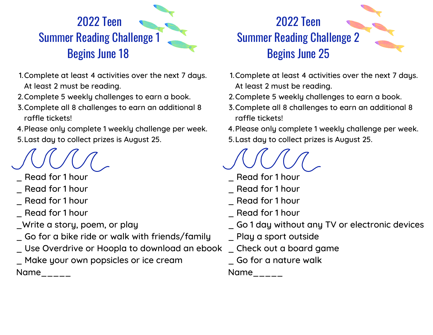

- 1.Complete at least 4 activities over the next 7 days. At least 2 must be reading.
- 2.Complete 5 weekly challenges to earn a book.
- Complete all 8 challenges to earn an additional 8 3. raffle tickets!
- 4. Please only complete 1 weekly challenge per week. Last day to collect prizes is August 25. 5.

- Read for 1 hour
- Read for 1 hour
- \_ Read for 1 hour
- Read for 1 hour
- \_Write a story, poem, or play
- \_ Go for a bike ride or walk with friends/family
- \_ Use Overdrive or Hoopla to download an ebook \_ Check out a board game
- \_ Make your own popsicles or ice cream Name  $_{---}$



- 1.Complete at least 4 activities over the next 7 days. At least 2 must be reading.
- 2. Complete 5 weekly challenges to earn a book.
- Complete all 8 challenges to earn an additional 8 3. raffle tickets!

4. Please only complete 1 weekly challenge per week. Last day to collect prizes is August 25. 5.

- Read for 1 hour
- Read for 1 hour
- Read for 1 hour
- \_ Read for 1 hour
- \_ Go 1 day without any TV or electronic devices
- \_ Play a sport outside
- 
- \_ Go for a nature walk

Name  $\qquad \qquad \_$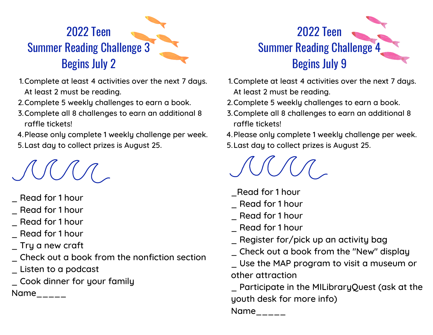## 2022 Teen Summer Reading Challenge 3 Begins July 2

- 1.Complete at least 4 activities over the next 7 days. At least 2 must be reading.
- 2. Complete 5 weekly challenges to earn a book.
- Complete all 8 challenges to earn an additional 8 3. raffle tickets!

4. Please only complete 1 weekly challenge per week. Last day to collect prizes is August 25. 5.

- \_ Read for 1 hour
- \_ Read for 1 hour
- \_ Read for 1 hour
- \_ Read for 1 hour
- \_ Try a new craft
- \_ Check out a book from the nonfiction section \_ Listen to a podcast
- \_ Cook dinner for your family

 $Name_{---}$ 

## 2022 Teen Summer Reading Challenge 4 Begins July 9

- 1.Complete at least 4 activities over the next 7 days. At least 2 must be reading.
- 2. Complete 5 weekly challenges to earn a book.
- Complete all 8 challenges to earn an additional 8 3. raffle tickets!
- 4. Please only complete 1 weekly challenge per week. Last day to collect prizes is August 25. 5.

- \_Read for 1 hour
- \_ Read for 1 hour
- \_ Read for 1 hour
- \_ Read for 1 hour
- \_ Register for/pick up an activity bag
- \_ Check out a book from the "New" display
- \_ Use the MAP program to visit a museum or other attraction

\_ Participate in the MILibraryQuest (ask at the youth desk for more info)

Name  $\frac{1}{2}$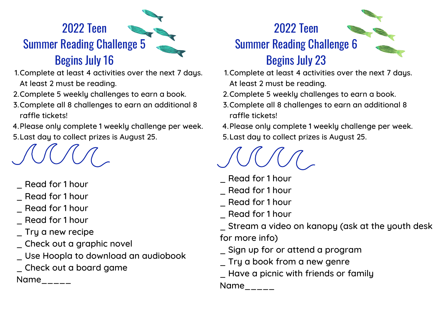## 2022 Teen Summer Reading Challenge 5 Begins July 16

- 1.Complete at least 4 activities over the next 7 days. At least 2 must be reading.
- 2. Complete 5 weekly challenges to earn a book.
- Complete all 8 challenges to earn an additional 8 3. raffle tickets!
- 4. Please only complete 1 weekly challenge per week. Last day to collect prizes is August 25. 5.



- \_ Read for 1 hour
- \_ Read for 1 hour
- \_ Read for 1 hour
- \_ Read for 1 hour
- \_ Try a new recipe
- \_ Check out a graphic novel
- \_ Use Hoopla to download an audiobook
- \_ Check out a board game

 $Name_{---}$ 



- 1.Complete at least 4 activities over the next 7 days. At least 2 must be reading.
- 2.Complete 5 weekly challenges to earn a book.
- Complete all 8 challenges to earn an additional 8 3. raffle tickets!
- 4. Please only complete 1 weekly challenge per week.
- Last day to collect prizes is August 25. 5.

- \_ Read for 1 hour
- \_ Read for 1 hour
- \_ Read for 1 hour
- \_ Read for 1 hour
- \_ Stream a video on kanopy (ask at the youth desk for more info)
- \_ Sign up for or attend a program
- \_ Try a book from a new genre
- \_ Have a picnic with friends or family

Name\_\_\_\_\_